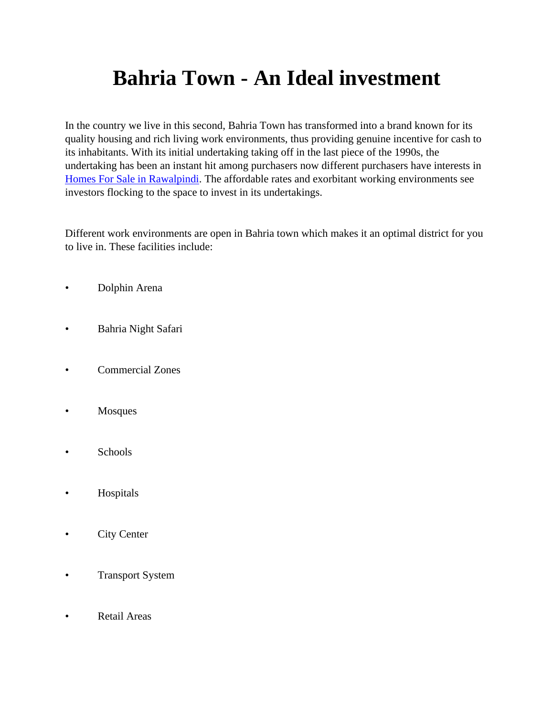# **Bahria Town - An Ideal investment**

In the country we live in this second, Bahria Town has transformed into a brand known for its quality housing and rich living work environments, thus providing genuine incentive for cash to its inhabitants. With its initial undertaking taking off in the last piece of the 1990s, the undertaking has been an instant hit among purchasers now different purchasers have interests in [Homes For Sale in Rawalpindi.](https://gharbaar.com/sale/Homes/Rawalpindi-5-1) The affordable rates and exorbitant working environments see investors flocking to the space to invest in its undertakings.

Different work environments are open in Bahria town which makes it an optimal district for you to live in. These facilities include:

- Dolphin Arena
- Bahria Night Safari
- Commercial Zones
- Mosques
- Schools
- Hospitals
- City Center
- Transport System
- Retail Areas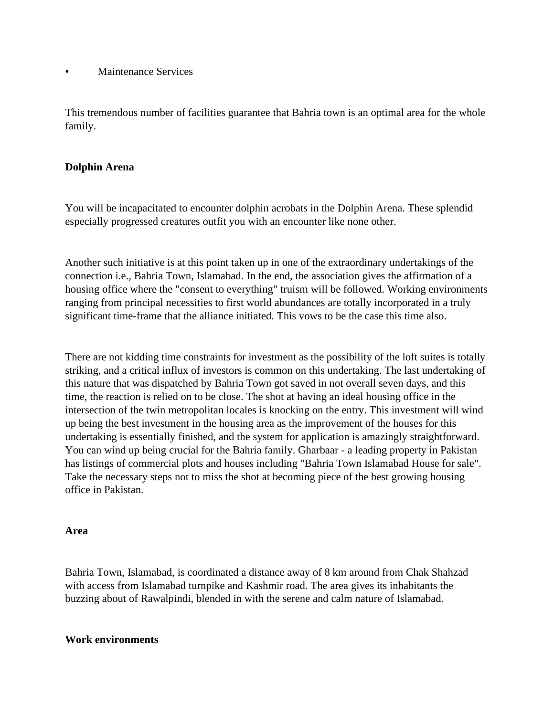• Maintenance Services

This tremendous number of facilities guarantee that Bahria town is an optimal area for the whole family.

## **Dolphin Arena**

You will be incapacitated to encounter dolphin acrobats in the Dolphin Arena. These splendid especially progressed creatures outfit you with an encounter like none other.

Another such initiative is at this point taken up in one of the extraordinary undertakings of the connection i.e., Bahria Town, Islamabad. In the end, the association gives the affirmation of a housing office where the "consent to everything" truism will be followed. Working environments ranging from principal necessities to first world abundances are totally incorporated in a truly significant time-frame that the alliance initiated. This vows to be the case this time also.

There are not kidding time constraints for investment as the possibility of the loft suites is totally striking, and a critical influx of investors is common on this undertaking. The last undertaking of this nature that was dispatched by Bahria Town got saved in not overall seven days, and this time, the reaction is relied on to be close. The shot at having an ideal housing office in the intersection of the twin metropolitan locales is knocking on the entry. This investment will wind up being the best investment in the housing area as the improvement of the houses for this undertaking is essentially finished, and the system for application is amazingly straightforward. You can wind up being crucial for the Bahria family. Gharbaar - a leading property in Pakistan has listings of commercial plots and houses including "Bahria Town Islamabad House for sale". Take the necessary steps not to miss the shot at becoming piece of the best growing housing office in Pakistan.

#### **Area**

Bahria Town, Islamabad, is coordinated a distance away of 8 km around from Chak Shahzad with access from Islamabad turnpike and Kashmir road. The area gives its inhabitants the buzzing about of Rawalpindi, blended in with the serene and calm nature of Islamabad.

#### **Work environments**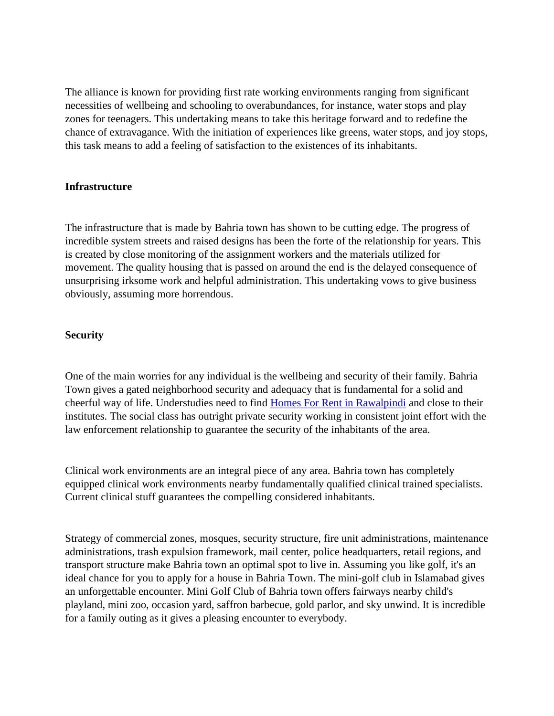The alliance is known for providing first rate working environments ranging from significant necessities of wellbeing and schooling to overabundances, for instance, water stops and play zones for teenagers. This undertaking means to take this heritage forward and to redefine the chance of extravagance. With the initiation of experiences like greens, water stops, and joy stops, this task means to add a feeling of satisfaction to the existences of its inhabitants.

### **Infrastructure**

The infrastructure that is made by Bahria town has shown to be cutting edge. The progress of incredible system streets and raised designs has been the forte of the relationship for years. This is created by close monitoring of the assignment workers and the materials utilized for movement. The quality housing that is passed on around the end is the delayed consequence of unsurprising irksome work and helpful administration. This undertaking vows to give business obviously, assuming more horrendous.

#### **Security**

One of the main worries for any individual is the wellbeing and security of their family. Bahria Town gives a gated neighborhood security and adequacy that is fundamental for a solid and cheerful way of life. Understudies need to find [Homes For Rent in Rawalpindi](https://gharbaar.com/rent/Homes/Rawalpindi-5-1) and close to their institutes. The social class has outright private security working in consistent joint effort with the law enforcement relationship to guarantee the security of the inhabitants of the area.

Clinical work environments are an integral piece of any area. Bahria town has completely equipped clinical work environments nearby fundamentally qualified clinical trained specialists. Current clinical stuff guarantees the compelling considered inhabitants.

Strategy of commercial zones, mosques, security structure, fire unit administrations, maintenance administrations, trash expulsion framework, mail center, police headquarters, retail regions, and transport structure make Bahria town an optimal spot to live in. Assuming you like golf, it's an ideal chance for you to apply for a house in Bahria Town. The mini-golf club in Islamabad gives an unforgettable encounter. Mini Golf Club of Bahria town offers fairways nearby child's playland, mini zoo, occasion yard, saffron barbecue, gold parlor, and sky unwind. It is incredible for a family outing as it gives a pleasing encounter to everybody.